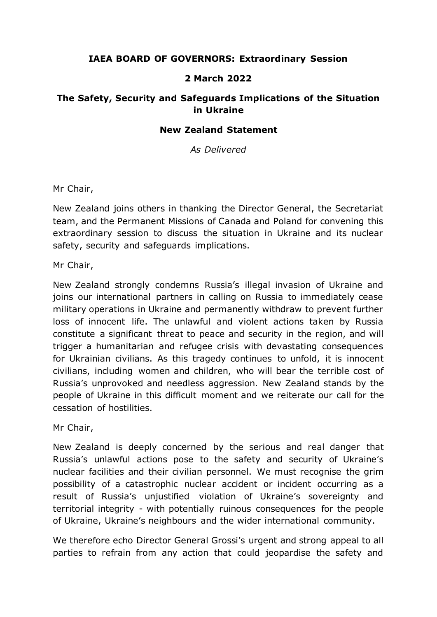## **IAEA BOARD OF GOVERNORS: Extraordinary Session**

## **2 March 2022**

## **The Safety, Security and Safeguards Implications of the Situation in Ukraine**

## **New Zealand Statement**

*As Delivered*

Mr Chair,

New Zealand joins others in thanking the Director General, the Secretariat team, and the Permanent Missions of Canada and Poland for convening this extraordinary session to discuss the situation in Ukraine and its nuclear safety, security and safeguards implications.

Mr Chair,

New Zealand strongly condemns Russia's illegal invasion of Ukraine and joins our international partners in calling on Russia to immediately cease military operations in Ukraine and permanently withdraw to prevent further loss of innocent life. The unlawful and violent actions taken by Russia constitute a significant threat to peace and security in the region, and will trigger a humanitarian and refugee crisis with devastating consequences for Ukrainian civilians. As this tragedy continues to unfold, it is innocent civilians, including women and children, who will bear the terrible cost of Russia's unprovoked and needless aggression. New Zealand stands by the people of Ukraine in this difficult moment and we reiterate our call for the cessation of hostilities.

Mr Chair,

New Zealand is deeply concerned by the serious and real danger that Russia's unlawful actions pose to the safety and security of Ukraine's nuclear facilities and their civilian personnel. We must recognise the grim possibility of a catastrophic nuclear accident or incident occurring as a result of Russia's unjustified violation of Ukraine's sovereignty and territorial integrity - with potentially ruinous consequences for the people of Ukraine, Ukraine's neighbours and the wider international community.

We therefore echo Director General Grossi's urgent and strong appeal to all parties to refrain from any action that could jeopardise the safety and